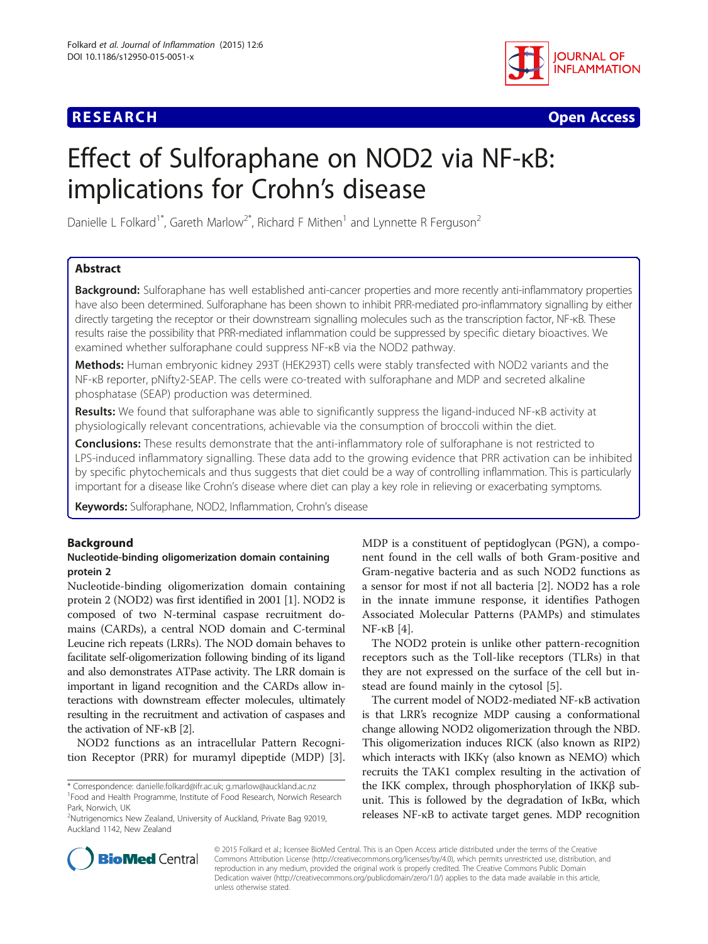## **RESEARCH CHE Open Access**



# Effect of Sulforaphane on NOD2 via NF-κB: implications for Crohn's disease

Danielle L Folkard<sup>1\*</sup>, Gareth Marlow<sup>2\*</sup>, Richard F Mithen<sup>1</sup> and Lynnette R Ferguson<sup>2</sup>

## Abstract

Background: Sulforaphane has well established anti-cancer properties and more recently anti-inflammatory properties have also been determined. Sulforaphane has been shown to inhibit PRR-mediated pro-inflammatory signalling by either directly targeting the receptor or their downstream signalling molecules such as the transcription factor, NF-κB. These results raise the possibility that PRR-mediated inflammation could be suppressed by specific dietary bioactives. We examined whether sulforaphane could suppress NF-κB via the NOD2 pathway.

Methods: Human embryonic kidney 293T (HEK293T) cells were stably transfected with NOD2 variants and the NF-κB reporter, pNifty2-SEAP. The cells were co-treated with sulforaphane and MDP and secreted alkaline phosphatase (SEAP) production was determined.

Results: We found that sulforaphane was able to significantly suppress the ligand-induced NF-KB activity at physiologically relevant concentrations, achievable via the consumption of broccoli within the diet.

**Conclusions:** These results demonstrate that the anti-inflammatory role of sulforaphane is not restricted to LPS-induced inflammatory signalling. These data add to the growing evidence that PRR activation can be inhibited by specific phytochemicals and thus suggests that diet could be a way of controlling inflammation. This is particularly important for a disease like Crohn's disease where diet can play a key role in relieving or exacerbating symptoms.

Keywords: Sulforaphane, NOD2, Inflammation, Crohn's disease

## Background

## Nucleotide-binding oligomerization domain containing protein 2

Nucleotide-binding oligomerization domain containing protein 2 (NOD2) was first identified in 2001 [\[1](#page-5-0)]. NOD2 is composed of two N-terminal caspase recruitment domains (CARDs), a central NOD domain and C-terminal Leucine rich repeats (LRRs). The NOD domain behaves to facilitate self-oligomerization following binding of its ligand and also demonstrates ATPase activity. The LRR domain is important in ligand recognition and the CARDs allow interactions with downstream effecter molecules, ultimately resulting in the recruitment and activation of caspases and the activation of NF-κB [\[2\]](#page-5-0).

NOD2 functions as an intracellular Pattern Recognition Receptor (PRR) for muramyl dipeptide (MDP) [\[3](#page-5-0)]. MDP is a constituent of peptidoglycan (PGN), a component found in the cell walls of both Gram-positive and Gram-negative bacteria and as such NOD2 functions as a sensor for most if not all bacteria [\[2](#page-5-0)]. NOD2 has a role in the innate immune response, it identifies Pathogen Associated Molecular Patterns (PAMPs) and stimulates NF-κB [[4\]](#page-5-0).

The NOD2 protein is unlike other pattern-recognition receptors such as the Toll-like receptors (TLRs) in that they are not expressed on the surface of the cell but instead are found mainly in the cytosol [[5\]](#page-5-0).

The current model of NOD2-mediated NF-κB activation is that LRR's recognize MDP causing a conformational change allowing NOD2 oligomerization through the NBD. This oligomerization induces RICK (also known as RIP2) which interacts with IKKγ (also known as NEMO) which recruits the TAK1 complex resulting in the activation of the IKK complex, through phosphorylation of IKKβ subunit. This is followed by the degradation of IκBα, which releases NF-κB to activate target genes. MDP recognition



© 2015 Folkard et al.; licensee BioMed Central. This is an Open Access article distributed under the terms of the Creative Commons Attribution License [\(http://creativecommons.org/licenses/by/4.0\)](http://creativecommons.org/licenses/by/4.0), which permits unrestricted use, distribution, and reproduction in any medium, provided the original work is properly credited. The Creative Commons Public Domain Dedication waiver [\(http://creativecommons.org/publicdomain/zero/1.0/](http://creativecommons.org/publicdomain/zero/1.0/)) applies to the data made available in this article, unless otherwise stated.

<sup>\*</sup> Correspondence: [danielle.folkard@ifr.ac.uk;](mailto:danielle.folkard@ifr.ac.uk) [g.marlow@auckland.ac.nz](mailto:g.marlow@auckland.ac.nz) <sup>1</sup> Food and Health Programme, Institute of Food Research, Norwich Research Park, Norwich, UK

<sup>&</sup>lt;sup>2</sup>Nutrigenomics New Zealand, University of Auckland, Private Bag 92019, Auckland 1142, New Zealand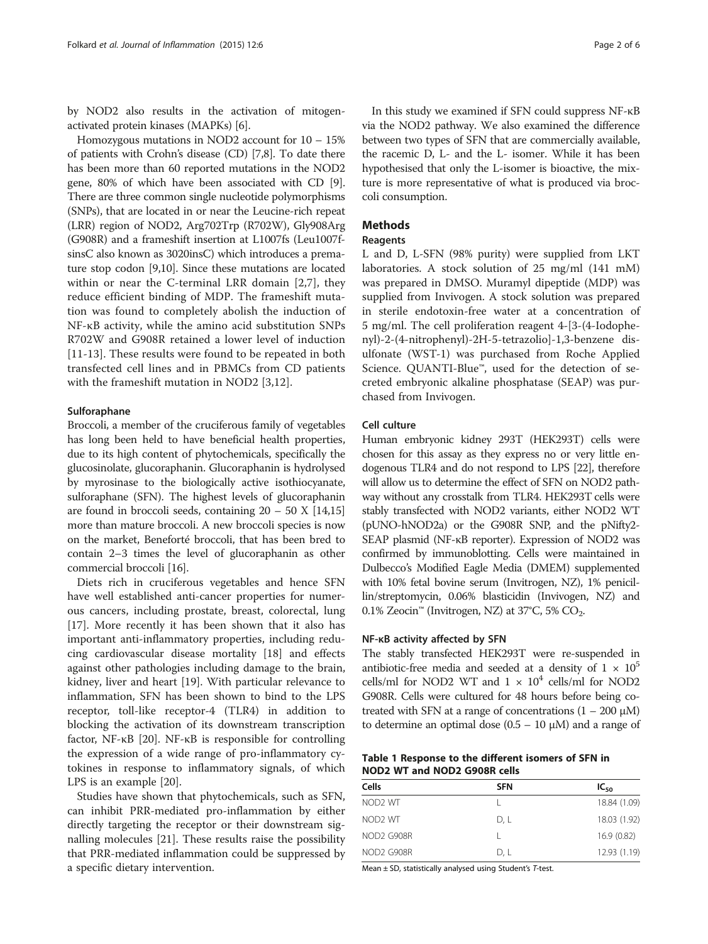<span id="page-1-0"></span>by NOD2 also results in the activation of mitogenactivated protein kinases (MAPKs) [[6\]](#page-5-0).

Homozygous mutations in NOD2 account for 10 – 15% of patients with Crohn's disease (CD) [[7,8\]](#page-5-0). To date there has been more than 60 reported mutations in the NOD2 gene, 80% of which have been associated with CD [[9](#page-5-0)]. There are three common single nucleotide polymorphisms (SNPs), that are located in or near the Leucine-rich repeat (LRR) region of NOD2, Arg702Trp (R702W), Gly908Arg (G908R) and a frameshift insertion at L1007fs (Leu1007fsinsC also known as 3020insC) which introduces a premature stop codon [\[9,10\]](#page-5-0). Since these mutations are located within or near the C-terminal LRR domain [[2,7](#page-5-0)], they reduce efficient binding of MDP. The frameshift mutation was found to completely abolish the induction of NF-κB activity, while the amino acid substitution SNPs R702W and G908R retained a lower level of induction [[11-13\]](#page-5-0). These results were found to be repeated in both transfected cell lines and in PBMCs from CD patients with the frameshift mutation in NOD2 [\[3](#page-5-0),[12\]](#page-5-0).

#### **Sulforaphane**

Broccoli, a member of the cruciferous family of vegetables has long been held to have beneficial health properties, due to its high content of phytochemicals, specifically the glucosinolate, glucoraphanin. Glucoraphanin is hydrolysed by myrosinase to the biologically active isothiocyanate, sulforaphane (SFN). The highest levels of glucoraphanin are found in broccoli seeds, containing  $20 - 50$  X [\[14,15](#page-5-0)] more than mature broccoli. A new broccoli species is now on the market, Beneforté broccoli, that has been bred to contain 2–3 times the level of glucoraphanin as other commercial broccoli [\[16\]](#page-5-0).

Diets rich in cruciferous vegetables and hence SFN have well established anti-cancer properties for numerous cancers, including prostate, breast, colorectal, lung [[17\]](#page-5-0). More recently it has been shown that it also has important anti-inflammatory properties, including reducing cardiovascular disease mortality [[18\]](#page-5-0) and effects against other pathologies including damage to the brain, kidney, liver and heart [[19](#page-5-0)]. With particular relevance to inflammation, SFN has been shown to bind to the LPS receptor, toll-like receptor-4 (TLR4) in addition to blocking the activation of its downstream transcription factor, NF-κB [[20\]](#page-5-0). NF-κB is responsible for controlling the expression of a wide range of pro-inflammatory cytokines in response to inflammatory signals, of which LPS is an example [[20\]](#page-5-0).

Studies have shown that phytochemicals, such as SFN, can inhibit PRR-mediated pro-inflammation by either directly targeting the receptor or their downstream signalling molecules [[21\]](#page-5-0). These results raise the possibility that PRR-mediated inflammation could be suppressed by a specific dietary intervention.

In this study we examined if SFN could suppress NF-κB via the NOD2 pathway. We also examined the difference between two types of SFN that are commercially available, the racemic D, L- and the L- isomer. While it has been hypothesised that only the L-isomer is bioactive, the mixture is more representative of what is produced via broccoli consumption.

#### Methods

#### **Reagents**

L and D, L-SFN (98% purity) were supplied from LKT laboratories. A stock solution of 25 mg/ml (141 mM) was prepared in DMSO. Muramyl dipeptide (MDP) was supplied from Invivogen. A stock solution was prepared in sterile endotoxin-free water at a concentration of 5 mg/ml. The cell proliferation reagent 4-[3-(4-Iodophenyl)-2-(4-nitrophenyl)-2H-5-tetrazolio]-1,3-benzene disulfonate (WST-1) was purchased from Roche Applied Science. QUANTI-Blue™, used for the detection of secreted embryonic alkaline phosphatase (SEAP) was purchased from Invivogen.

#### Cell culture

Human embryonic kidney 293T (HEK293T) cells were chosen for this assay as they express no or very little endogenous TLR4 and do not respond to LPS [[22\]](#page-5-0), therefore will allow us to determine the effect of SFN on NOD2 pathway without any crosstalk from TLR4. HEK293T cells were stably transfected with NOD2 variants, either NOD2 WT (pUNO-hNOD2a) or the G908R SNP, and the pNifty2- SEAP plasmid (NF-κB reporter). Expression of NOD2 was confirmed by immunoblotting. Cells were maintained in Dulbecco's Modified Eagle Media (DMEM) supplemented with 10% fetal bovine serum (Invitrogen, NZ), 1% penicillin/streptomycin, 0.06% blasticidin (Invivogen, NZ) and 0.1% Zeocin™ (Invitrogen, NZ) at 37°C, 5% CO<sub>2</sub>.

#### NF-κB activity affected by SFN

The stably transfected HEK293T were re-suspended in antibiotic-free media and seeded at a density of  $1 \times 10^5$ cells/ml for NOD2 WT and  $1 \times 10^4$  cells/ml for NOD2 G908R. Cells were cultured for 48 hours before being cotreated with SFN at a range of concentrations  $(1 - 200 \mu M)$ to determine an optimal dose  $(0.5 – 10 μ)$  and a range of

#### Table 1 Response to the different isomers of SFN in NOD2 WT and NOD2 G908R cells

| Cells               | <b>SFN</b> | $IC_{50}$    |
|---------------------|------------|--------------|
| NOD <sub>2</sub> WT |            | 18.84 (1.09) |
| NOD <sub>2</sub> WT | D, L       | 18.03 (1.92) |
| NOD2 G908R          |            | 16.9(0.82)   |
| NOD2 G908R          | D. L       | 12.93 (1.19) |

Mean  $\pm$  SD, statistically analysed using Student's T-test.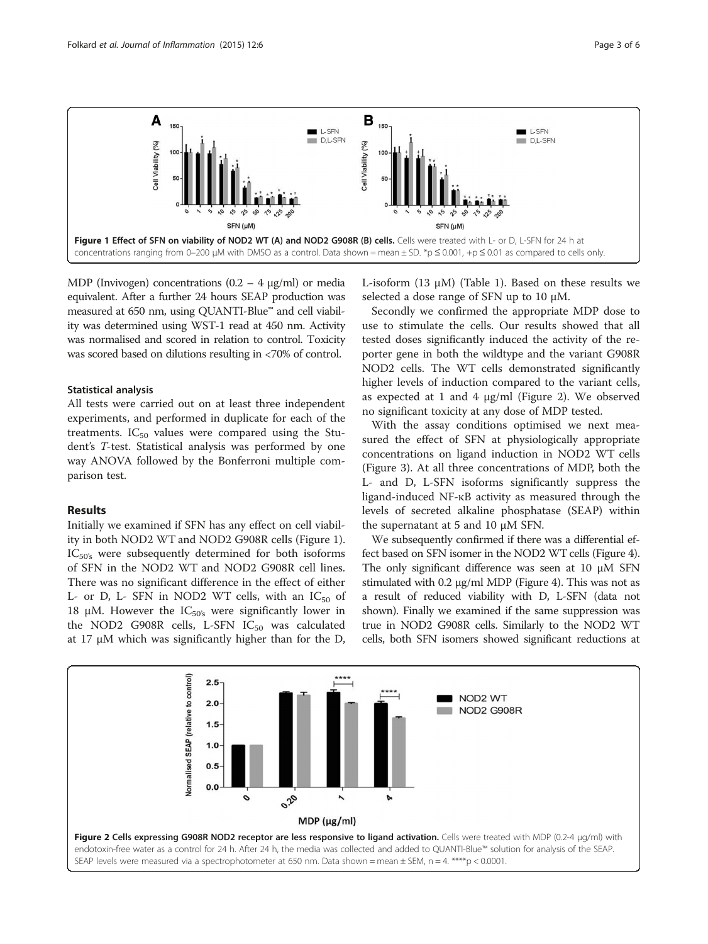



MDP (Invivogen) concentrations  $(0.2 - 4 \mu g/ml)$  or media equivalent. After a further 24 hours SEAP production was measured at 650 nm, using QUANTI-Blue™ and cell viability was determined using WST-1 read at 450 nm. Activity was normalised and scored in relation to control. Toxicity was scored based on dilutions resulting in <70% of control.

## Statistical analysis

All tests were carried out on at least three independent experiments, and performed in duplicate for each of the treatments.  $IC_{50}$  values were compared using the Student's T-test. Statistical analysis was performed by one way ANOVA followed by the Bonferroni multiple comparison test.

## Results

Initially we examined if SFN has any effect on cell viability in both NOD2 WT and NOD2 G908R cells (Figure 1). IC<sub>50's</sub> were subsequently determined for both isoforms of SFN in the NOD2 WT and NOD2 G908R cell lines. There was no significant difference in the effect of either L- or D, L- SFN in NOD2 WT cells, with an  $IC_{50}$  of 18 μM. However the  $IC_{50's}$  were significantly lower in the NOD2 G908R cells, L-SFN  $IC_{50}$  was calculated at 17 μM which was significantly higher than for the D, L-isoform  $(13 \mu M)$  (Table [1\)](#page-1-0). Based on these results we selected a dose range of SFN up to 10 μM.

Secondly we confirmed the appropriate MDP dose to use to stimulate the cells. Our results showed that all tested doses significantly induced the activity of the reporter gene in both the wildtype and the variant G908R NOD2 cells. The WT cells demonstrated significantly higher levels of induction compared to the variant cells, as expected at 1 and 4 μg/ml (Figure 2). We observed no significant toxicity at any dose of MDP tested.

With the assay conditions optimised we next measured the effect of SFN at physiologically appropriate concentrations on ligand induction in NOD2 WT cells (Figure [3](#page-3-0)). At all three concentrations of MDP, both the L- and D, L-SFN isoforms significantly suppress the ligand-induced NF-κB activity as measured through the levels of secreted alkaline phosphatase (SEAP) within the supernatant at 5 and 10 μM SFN.

We subsequently confirmed if there was a differential effect based on SFN isomer in the NOD2 WT cells (Figure [4](#page-3-0)). The only significant difference was seen at 10 μM SFN stimulated with 0.2 μg/ml MDP (Figure [4\)](#page-3-0). This was not as a result of reduced viability with D, L-SFN (data not shown). Finally we examined if the same suppression was true in NOD2 G908R cells. Similarly to the NOD2 WT cells, both SFN isomers showed significant reductions at

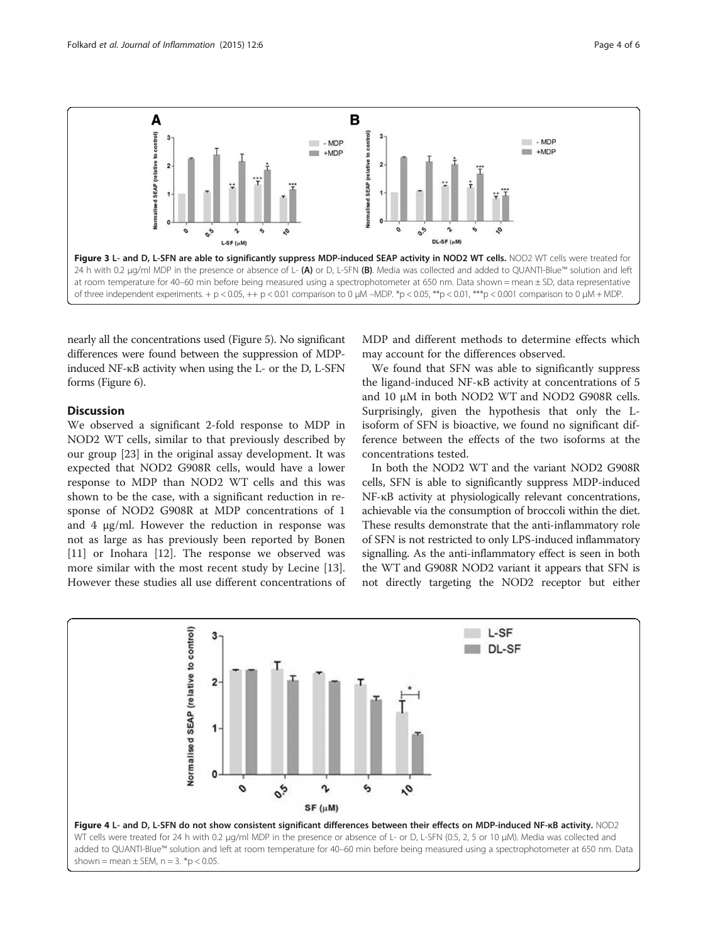<span id="page-3-0"></span>

nearly all the concentrations used (Figure [5\)](#page-4-0). No significant differences were found between the suppression of MDPinduced NF-κB activity when using the L- or the D, L-SFN forms (Figure [6\)](#page-4-0).

## Discussion

We observed a significant 2-fold response to MDP in NOD2 WT cells, similar to that previously described by our group [[23\]](#page-5-0) in the original assay development. It was expected that NOD2 G908R cells, would have a lower response to MDP than NOD2 WT cells and this was shown to be the case, with a significant reduction in response of NOD2 G908R at MDP concentrations of 1 and 4 μg/ml. However the reduction in response was not as large as has previously been reported by Bonen [[11\]](#page-5-0) or Inohara [[12\]](#page-5-0). The response we observed was more similar with the most recent study by Lecine [\[13](#page-5-0)]. However these studies all use different concentrations of

MDP and different methods to determine effects which may account for the differences observed.

We found that SFN was able to significantly suppress the ligand-induced NF-κB activity at concentrations of 5 and 10 μM in both NOD2 WT and NOD2 G908R cells. Surprisingly, given the hypothesis that only the Lisoform of SFN is bioactive, we found no significant difference between the effects of the two isoforms at the concentrations tested.

In both the NOD2 WT and the variant NOD2 G908R cells, SFN is able to significantly suppress MDP-induced NF-κB activity at physiologically relevant concentrations, achievable via the consumption of broccoli within the diet. These results demonstrate that the anti-inflammatory role of SFN is not restricted to only LPS-induced inflammatory signalling. As the anti-inflammatory effect is seen in both the WT and G908R NOD2 variant it appears that SFN is not directly targeting the NOD2 receptor but either

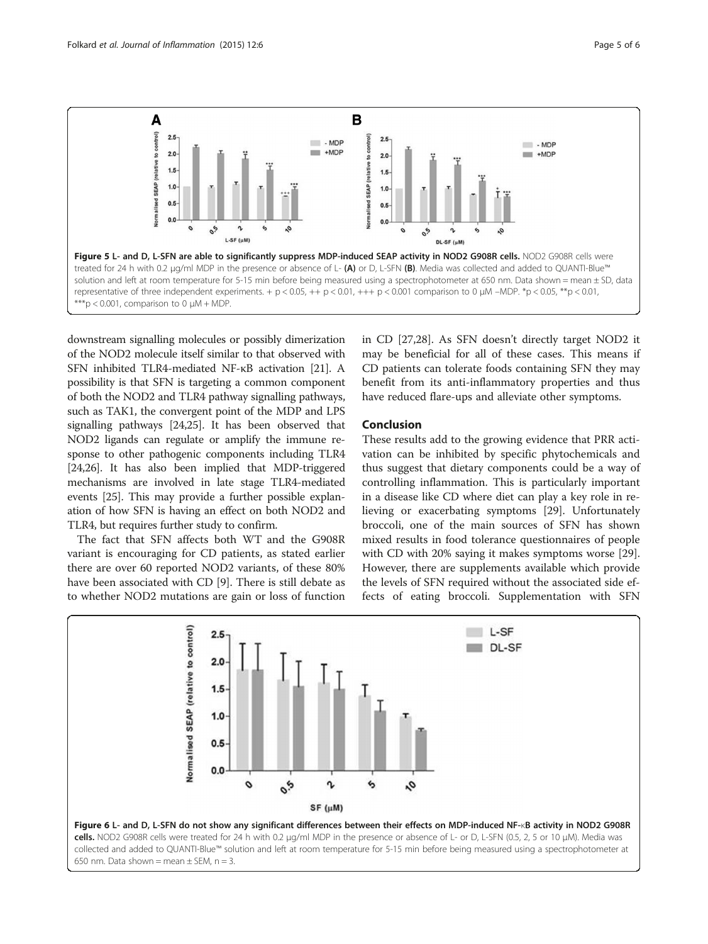<span id="page-4-0"></span>

downstream signalling molecules or possibly dimerization of the NOD2 molecule itself similar to that observed with SFN inhibited TLR4-mediated NF-κB activation [\[21\]](#page-5-0). A possibility is that SFN is targeting a common component of both the NOD2 and TLR4 pathway signalling pathways, such as TAK1, the convergent point of the MDP and LPS signalling pathways [[24,25\]](#page-5-0). It has been observed that NOD2 ligands can regulate or amplify the immune response to other pathogenic components including TLR4 [[24,26](#page-5-0)]. It has also been implied that MDP-triggered mechanisms are involved in late stage TLR4-mediated events [\[25\]](#page-5-0). This may provide a further possible explanation of how SFN is having an effect on both NOD2 and TLR4, but requires further study to confirm.

The fact that SFN affects both WT and the G908R variant is encouraging for CD patients, as stated earlier there are over 60 reported NOD2 variants, of these 80% have been associated with CD [\[9](#page-5-0)]. There is still debate as to whether NOD2 mutations are gain or loss of function

in CD [[27,28\]](#page-5-0). As SFN doesn't directly target NOD2 it may be beneficial for all of these cases. This means if CD patients can tolerate foods containing SFN they may benefit from its anti-inflammatory properties and thus have reduced flare-ups and alleviate other symptoms.

#### Conclusion

These results add to the growing evidence that PRR activation can be inhibited by specific phytochemicals and thus suggest that dietary components could be a way of controlling inflammation. This is particularly important in a disease like CD where diet can play a key role in relieving or exacerbating symptoms [\[29](#page-5-0)]. Unfortunately broccoli, one of the main sources of SFN has shown mixed results in food tolerance questionnaires of people with CD with 20% saying it makes symptoms worse [\[29](#page-5-0)]. However, there are supplements available which provide the levels of SFN required without the associated side effects of eating broccoli. Supplementation with SFN